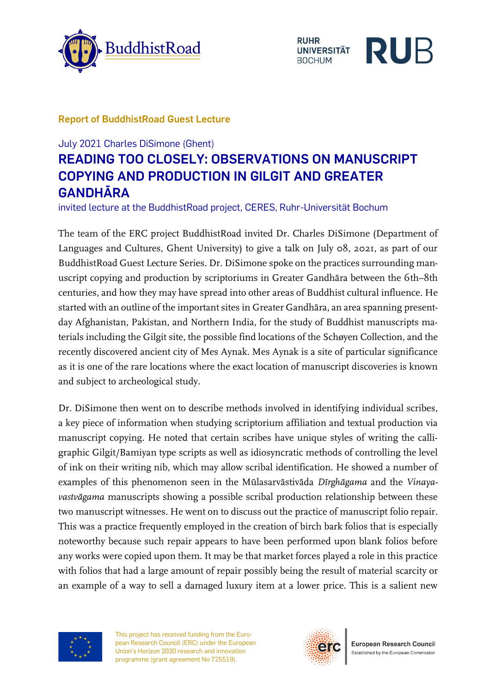





## **Report of BuddhistRoad Guest Lecture**

## July 2021 Charles DiSimone (Ghent) **READING TOO CLOSELY: OBSERVATIONS ON MANUSCRIPT COPYING AND PRODUCTION IN GILGIT AND GREATER GANDHĀRA**

invited lecture at the BuddhistRoad project, CERES, Ruhr-Universität Bochum

The team of the ERC project BuddhistRoad invited Dr. Charles DiSimone (Department of Languages and Cultures, Ghent University) to give a talk on July 08, 2021, as part of our BuddhistRoad Guest Lecture Series. Dr. DiSimone spoke on the practices surrounding manuscript copying and production by scriptoriums in Greater Gandhāra between the 6th–8th centuries, and how they may have spread into other areas of Buddhist cultural influence. He started with an outline of the important sites in Greater Gandhāra, an area spanning presentday Afghanistan, Pakistan, and Northern India, for the study of Buddhist manuscripts materials including the Gilgit site, the possible find locations of the Schøyen Collection, and the recently discovered ancient city of Mes Aynak. Mes Aynak is a site of particular significance as it is one of the rare locations where the exact location of manuscript discoveries is known and subject to archeological study.

Dr. DiSimone then went on to describe methods involved in identifying individual scribes, a key piece of information when studying scriptorium affiliation and textual production via manuscript copying. He noted that certain scribes have unique styles of writing the calligraphic Gilgit/Bamiyan type scripts as well as idiosyncratic methods of controlling the level of ink on their writing nib, which may allow scribal identification. He showed a number of examples of this phenomenon seen in the Mūlasarvāstivāda *Dīrghāgama* and the *Vinayavastvāgama* manuscripts showing a possible scribal production relationship between these two manuscript witnesses. He went on to discuss out the practice of manuscript folio repair. This was a practice frequently employed in the creation of birch bark folios that is especially noteworthy because such repair appears to have been performed upon blank folios before any works were copied upon them. It may be that market forces played a role in this practice with folios that had a large amount of repair possibly being the result of material scarcity or an example of a way to sell a damaged luxury item at a lower price. This is a salient new



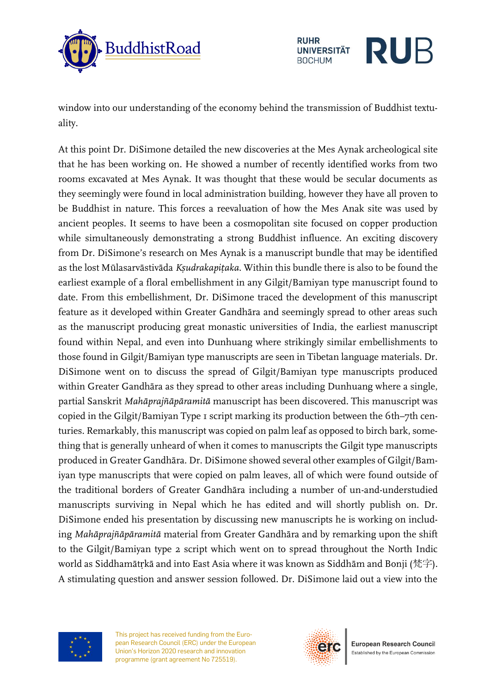



window into our understanding of the economy behind the transmission of Buddhist textuality.

At this point Dr. DiSimone detailed the new discoveries at the Mes Aynak archeological site that he has been working on. He showed a number of recently identified works from two rooms excavated at Mes Aynak. It was thought that these would be secular documents as they seemingly were found in local administration building, however they have all proven to be Buddhist in nature. This forces a reevaluation of how the Mes Anak site was used by ancient peoples. It seems to have been a cosmopolitan site focused on copper production while simultaneously demonstrating a strong Buddhist influence. An exciting discovery from Dr. DiSimone's research on Mes Aynak is a manuscript bundle that may be identified as the lost Mūlasarvāstivāda *Kṣudrakapiṭaka*. Within this bundle there is also to be found the earliest example of a floral embellishment in any Gilgit/Bamiyan type manuscript found to date. From this embellishment, Dr. DiSimone traced the development of this manuscript feature as it developed within Greater Gandhāra and seemingly spread to other areas such as the manuscript producing great monastic universities of India, the earliest manuscript found within Nepal, and even into Dunhuang where strikingly similar embellishments to those found in Gilgit/Bamiyan type manuscripts are seen in Tibetan language materials. Dr. DiSimone went on to discuss the spread of Gilgit/Bamiyan type manuscripts produced within Greater Gandhāra as they spread to other areas including Dunhuang where a single, partial Sanskrit *Mahāprajñāpāramitā* manuscript has been discovered. This manuscript was copied in the Gilgit/Bamiyan Type 1 script marking its production between the 6th–7th centuries. Remarkably, this manuscript was copied on palm leaf as opposed to birch bark, something that is generally unheard of when it comes to manuscripts the Gilgit type manuscripts produced in Greater Gandhāra. Dr. DiSimone showed several other examples of Gilgit/Bamiyan type manuscripts that were copied on palm leaves, all of which were found outside of the traditional borders of Greater Gandhāra including a number of un-and-understudied manuscripts surviving in Nepal which he has edited and will shortly publish on. Dr. DiSimone ended his presentation by discussing new manuscripts he is working on including *Mahāprajñāpāramitā* material from Greater Gandhāra and by remarking upon the shift to the Gilgit/Bamiyan type 2 script which went on to spread throughout the North Indic world as Siddhamātṛkā and into East Asia where it was known as Siddhām and Bonji (梵字). A stimulating question and answer session followed. Dr. DiSimone laid out a view into the



This project has received funding from the European Research Council (ERC) under the European Union's Horizon 2020 research and innovation programme (grant agreement No 725519).